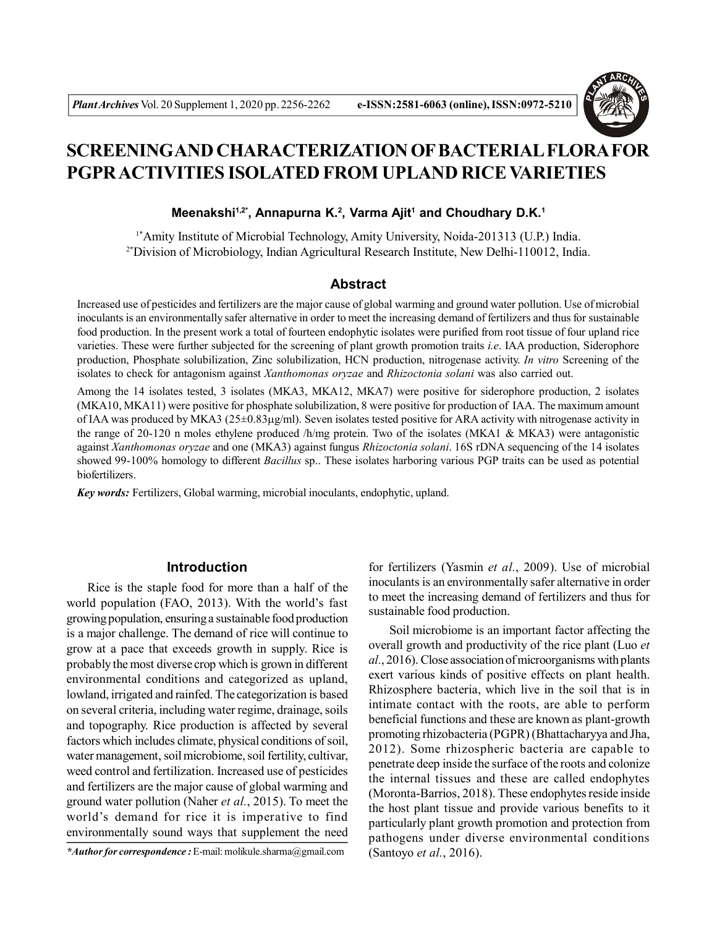

# **SCREENINGAND CHARACTERIZATION OF BACTERIAL FLORA FOR PGPR ACTIVITIES ISOLATED FROM UPLAND RICE VARIETIES**

# **Meenakshi1,2\*, Annapurna K.<sup>2</sup> , Varma Ajit<sup>1</sup> and Choudhary D.K.<sup>1</sup>**

1\*Amity Institute of Microbial Technology, Amity University, Noida-201313 (U.P.) India. 2\*Division of Microbiology, Indian Agricultural Research Institute, New Delhi-110012, India.

# **Abstract**

Increased use of pesticides and fertilizers are the major cause of global warming and ground water pollution. Use of microbial inoculants is an environmentally safer alternative in order to meet the increasing demand of fertilizers and thus for sustainable food production. In the present work a total of fourteen endophytic isolates were purified from root tissue of four upland rice varieties. These were further subjected for the screening of plant growth promotion traits *i.e*. IAA production, Siderophore production, Phosphate solubilization, Zinc solubilization, HCN production, nitrogenase activity. *In vitro* Screening of the isolates to check for antagonism against *Xanthomonas oryzae* and *Rhizoctonia solani* was also carried out.

Among the 14 isolates tested, 3 isolates (MKA3, MKA12, MKA7) were positive for siderophore production, 2 isolates (MKA10, MKA11) were positive for phosphate solubilization, 8 were positive for production of IAA. The maximum amount of IAA was produced by MKA3 (25±0.83g/ml). Seven isolates tested positive for ARA activity with nitrogenase activity in the range of 20-120 n moles ethylene produced /h/mg protein. Two of the isolates (MKA1 & MKA3) were antagonistic against *Xanthomonas oryzae* and one (MKA3) against fungus *Rhizoctonia solani*. 16S rDNA sequencing of the 14 isolates showed 99-100% homology to different *Bacillus* sp.. These isolates harboring various PGP traits can be used as potential biofertilizers.

*Key words:* Fertilizers, Global warming, microbial inoculants, endophytic, upland.

## **Introduction**

Rice is the staple food for more than a half of the world population (FAO, 2013). With the world's fast growing population, ensuring a sustainable food production is a major challenge. The demand of rice will continue to grow at a pace that exceeds growth in supply. Rice is probably the most diverse crop which is grown in different environmental conditions and categorized as upland, lowland, irrigated and rainfed. The categorization is based on several criteria, including water regime, drainage, soils and topography. Rice production is affected by several factors which includes climate, physical conditions of soil, water management, soil microbiome, soil fertility, cultivar, weed control and fertilization. Increased use of pesticides and fertilizers are the major cause of global warming and ground water pollution (Naher *et al.*, 2015). To meet the world's demand for rice it is imperative to find environmentally sound ways that supplement the need

*\*Author for correspondence :* E-mail: molikule.sharma@gmail.com

for fertilizers (Yasmin *et al.*, 2009). Use of microbial inoculants is an environmentally safer alternative in order to meet the increasing demand of fertilizers and thus for sustainable food production.

Soil microbiome is an important factor affecting the overall growth and productivity of the rice plant (Luo *et al.*, 2016). Close association of microorganisms with plants exert various kinds of positive effects on plant health. Rhizosphere bacteria, which live in the soil that is in intimate contact with the roots, are able to perform beneficial functions and these are known as plant-growth promoting rhizobacteria (PGPR) (Bhattacharyya and Jha, 2012). Some rhizospheric bacteria are capable to penetrate deep inside the surface of the roots and colonize the internal tissues and these are called endophytes (Moronta-Barrios, 2018). These endophytes reside inside the host plant tissue and provide various benefits to it particularly plant growth promotion and protection from pathogens under diverse environmental conditions (Santoyo *et al.*, 2016).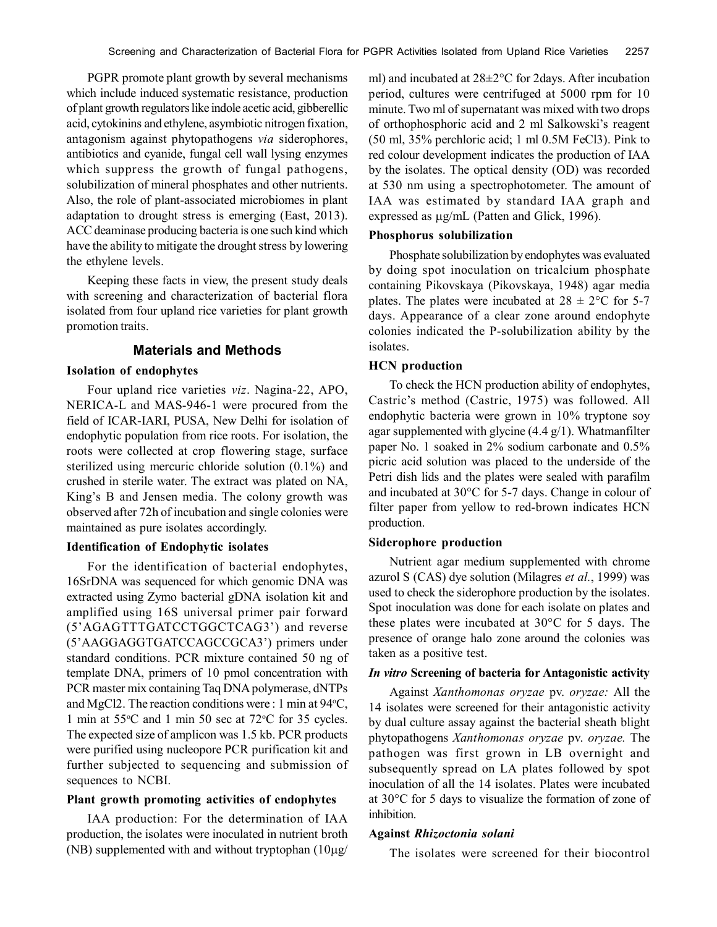PGPR promote plant growth by several mechanisms which include induced systematic resistance, production of plant growth regulators like indole acetic acid, gibberellic acid, cytokinins and ethylene, asymbiotic nitrogen fixation, antagonism against phytopathogens *via* siderophores, antibiotics and cyanide, fungal cell wall lysing enzymes which suppress the growth of fungal pathogens, solubilization of mineral phosphates and other nutrients. Also, the role of plant-associated microbiomes in plant adaptation to drought stress is emerging (East, 2013). ACC deaminase producing bacteria is one such kind which have the ability to mitigate the drought stress by lowering the ethylene levels.

Keeping these facts in view, the present study deals with screening and characterization of bacterial flora isolated from four upland rice varieties for plant growth promotion traits.

# **Materials and Methods**

#### **Isolation of endophytes**

Four upland rice varieties *viz*. Nagina-22, APO, NERICA-L and MAS-946-1 were procured from the field of ICAR-IARI, PUSA, New Delhi for isolation of endophytic population from rice roots. For isolation, the roots were collected at crop flowering stage, surface sterilized using mercuric chloride solution (0.1%) and crushed in sterile water. The extract was plated on NA, King's B and Jensen media. The colony growth was observed after 72h of incubation and single colonies were maintained as pure isolates accordingly.

# **Identification of Endophytic isolates**

For the identification of bacterial endophytes, 16SrDNA was sequenced for which genomic DNA was extracted using Zymo bacterial gDNA isolation kit and amplified using 16S universal primer pair forward (5'AGAGTTTGATCCTGGCTCAG3') and reverse (5'AAGGAGGTGATCCAGCCGCA3') primers under standard conditions. PCR mixture contained 50 ng of template DNA, primers of 10 pmol concentration with PCR master mix containing Taq DNA polymerase, dNTPs and MgCl2. The reaction conditions were : 1 min at  $94^{\circ}$ C, 1 min at  $55^{\circ}$ C and 1 min 50 sec at  $72^{\circ}$ C for 35 cycles. The expected size of amplicon was 1.5 kb. PCR products were purified using nucleopore PCR purification kit and further subjected to sequencing and submission of sequences to NCBI.

#### **Plant growth promoting activities of endophytes**

IAA production: For the determination of IAA production, the isolates were inoculated in nutrient broth (NB) supplemented with and without tryptophan  $(10\mu g)$  ml) and incubated at 28±2°C for 2days. After incubation period, cultures were centrifuged at 5000 rpm for 10 minute. Two ml of supernatant was mixed with two drops of orthophosphoric acid and 2 ml Salkowski's reagent (50 ml, 35% perchloric acid; 1 ml 0.5M FeCl3). Pink to red colour development indicates the production of IAA by the isolates. The optical density (OD) was recorded at 530 nm using a spectrophotometer. The amount of IAA was estimated by standard IAA graph and expressed as  $\mu$ g/mL (Patten and Glick, 1996).

### **Phosphorus solubilization**

Phosphate solubilization by endophytes was evaluated by doing spot inoculation on tricalcium phosphate containing Pikovskaya (Pikovskaya, 1948) agar media plates. The plates were incubated at  $28 \pm 2^{\circ}\text{C}$  for 5-7 days. Appearance of a clear zone around endophyte colonies indicated the P-solubilization ability by the isolates.

## **HCN production**

To check the HCN production ability of endophytes, Castric's method (Castric, 1975) was followed. All endophytic bacteria were grown in 10% tryptone soy agar supplemented with glycine  $(4.4 \text{ g}/1)$ . Whatmanfilter paper No. 1 soaked in 2% sodium carbonate and 0.5% picric acid solution was placed to the underside of the Petri dish lids and the plates were sealed with parafilm and incubated at 30°C for 5-7 days. Change in colour of filter paper from yellow to red-brown indicates HCN production.

#### **Siderophore production**

Nutrient agar medium supplemented with chrome azurol S (CAS) dye solution (Milagres *et al.*, 1999) was used to check the siderophore production by the isolates. Spot inoculation was done for each isolate on plates and these plates were incubated at 30°C for 5 days. The presence of orange halo zone around the colonies was taken as a positive test.

#### *In vitro* **Screening of bacteria for Antagonistic activity**

Against *Xanthomonas oryzae* pv. *oryzae:* All the 14 isolates were screened for their antagonistic activity by dual culture assay against the bacterial sheath blight phytopathogens *Xanthomonas oryzae* pv. *oryzae.* The pathogen was first grown in LB overnight and subsequently spread on LA plates followed by spot inoculation of all the 14 isolates. Plates were incubated at 30°C for 5 days to visualize the formation of zone of inhibition.

#### **Against** *Rhizoctonia solani*

The isolates were screened for their biocontrol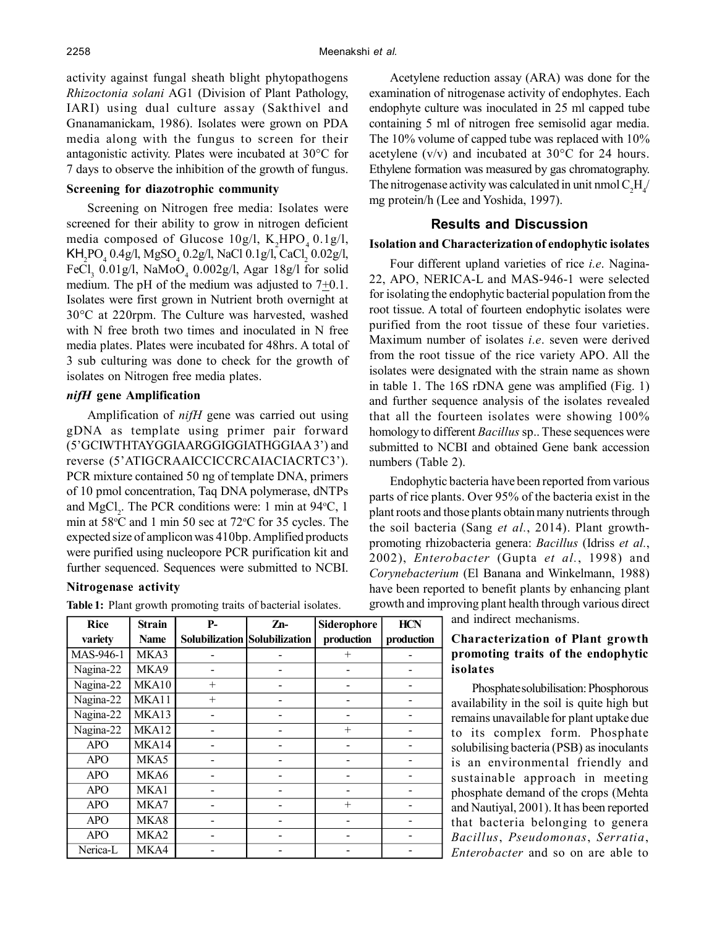activity against fungal sheath blight phytopathogens *Rhizoctonia solani* AG1 (Division of Plant Pathology, IARI) using dual culture assay (Sakthivel and Gnanamanickam, 1986). Isolates were grown on PDA media along with the fungus to screen for their antagonistic activity. Plates were incubated at 30°C for 7 days to observe the inhibition of the growth of fungus.

## **Screening for diazotrophic community**

Screening on Nitrogen free media: Isolates were screened for their ability to grow in nitrogen deficient media composed of Glucose  $10g/l$ , K<sub>2</sub>HPO<sub>4</sub> 0.1g/l,  $KH_2PO_4$  0.4g/l, MgSO<sub>4</sub> 0.2g/l, NaCl 0.1g/l, CaCl<sub>2</sub> 0.02g/l, FeCl<sub>3</sub> 0.01g/l, NaMoO<sub>4</sub> 0.002g/l, Agar 18g/l for solid medium. The pH of the medium was adjusted to  $7\pm0.1$ . Isolates were first grown in Nutrient broth overnight at 30°C at 220rpm. The Culture was harvested, washed with N free broth two times and inoculated in N free media plates. Plates were incubated for 48hrs. A total of 3 sub culturing was done to check for the growth of isolates on Nitrogen free media plates.

### *nifH* **gene Amplification**

Amplification of *nifH* gene was carried out using gDNA as template using primer pair forward (5'GCIWTHTAYGGIAARGGIGGIATHGGIAA 3') and reverse (5'ATIGCRAAICCICCRCAIACIACRTC3'). PCR mixture contained 50 ng of template DNA, primers of 10 pmol concentration, Taq DNA polymerase, dNTPs and  $MgCl_2$ . The PCR conditions were: 1 min at 94 °C, 1 min at  $58^{\circ}$ C and 1 min 50 sec at  $72^{\circ}$ C for 35 cycles. The expected size of amplicon was 410bp. Amplified products were purified using nucleopore PCR purification kit and further sequenced. Sequences were submitted to NCBI.

## **Nitrogenase activity**

| <b>Rice</b> | <b>Strain</b> | $P-$   | Zn-                           | Siderophore | <b>HCN</b> |
|-------------|---------------|--------|-------------------------------|-------------|------------|
| variety     | Name          |        | Solubilization Solubilization | production  | production |
| MAS-946-1   | MKA3          |        |                               | $^{+}$      |            |
| Nagina-22   | MKA9          |        |                               |             |            |
| Nagina-22   | MKA10         | $^{+}$ |                               |             |            |
| Nagina-22   | MKA11         | $+$    |                               |             |            |
| Nagina-22   | MKA13         |        |                               |             |            |
| Nagina-22   | MKA12         |        |                               | $^{+}$      |            |
| <b>APO</b>  | MKA14         |        |                               |             |            |
| <b>APO</b>  | MKA5          |        |                               |             |            |
| <b>APO</b>  | MKA6          |        |                               |             |            |
| <b>APO</b>  | MKA1          |        |                               |             |            |
| <b>APO</b>  | MKA7          |        |                               | $^{+}$      |            |
| <b>APO</b>  | MKA8          |        |                               |             |            |
| <b>APO</b>  | MKA2          |        |                               |             |            |
| Nerica-L    | MKA4          |        |                               |             |            |

Acetylene reduction assay (ARA) was done for the examination of nitrogenase activity of endophytes. Each endophyte culture was inoculated in 25 ml capped tube containing 5 ml of nitrogen free semisolid agar media. The 10% volume of capped tube was replaced with 10% acetylene  $(v/v)$  and incubated at 30 $\degree$ C for 24 hours. Ethylene formation was measured by gas chromatography. The nitrogenase activity was calculated in unit nmol  $C_2H_4$ / mg protein/h (Lee and Yoshida, 1997).

#### **Results and Discussion**

## **Isolation and Characterization of endophytic isolates**

Four different upland varieties of rice *i.e*. Nagina-22, APO, NERICA-L and MAS-946-1 were selected for isolating the endophytic bacterial population from the root tissue. A total of fourteen endophytic isolates were purified from the root tissue of these four varieties. Maximum number of isolates *i.e*. seven were derived from the root tissue of the rice variety APO. All the isolates were designated with the strain name as shown in table 1. The 16S rDNA gene was amplified (Fig. 1) and further sequence analysis of the isolates revealed that all the fourteen isolates were showing 100% homology to different *Bacillus* sp.. These sequences were submitted to NCBI and obtained Gene bank accession numbers (Table 2).

Endophytic bacteria have been reported from various parts of rice plants. Over 95% of the bacteria exist in the plant roots and those plants obtain many nutrients through the soil bacteria (Sang *et al.*, 2014). Plant growthpromoting rhizobacteria genera: *Bacillus* (Idriss *et al.*, 2002), *Enterobacter* (Gupta *et al.*, 1998) and *Corynebacterium* (El Banana and Winkelmann, 1988) have been reported to benefit plants by enhancing plant Table 1: Plant growth promoting traits of bacterial isolates. growth and improving plant health through various direct

and indirect mechanisms.

# **Characterization of Plant growth promoting traits of the endophytic isolates**

Phosphate solubilisation: Phosphorous availability in the soil is quite high but remains unavailable for plant uptake due to its complex form. Phosphate solubilising bacteria (PSB) as inoculants is an environmental friendly and sustainable approach in meeting phosphate demand of the crops (Mehta and Nautiyal, 2001). It has been reported that bacteria belonging to genera *Bacillus*, *Pseudomonas*, *Serratia*, *Enterobacter* and so on are able to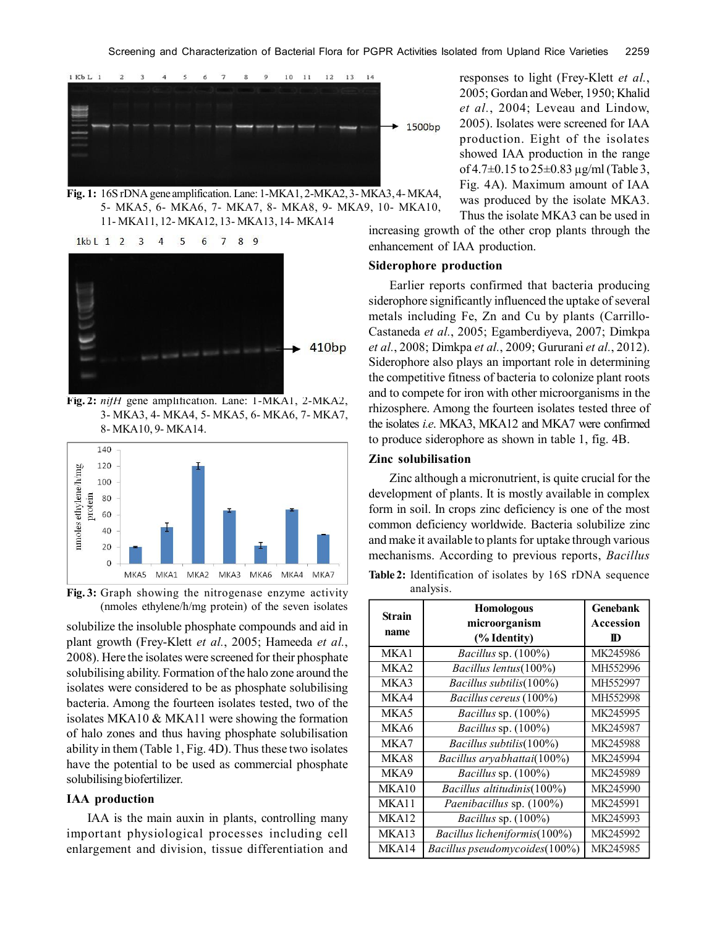

**Fig. 1:** 16S rDNA gene amplification. Lane: 1-MKA1, 2-MKA2, 3- MKA3, 4- MKA4, 5- MKA5, 6- MKA6, 7- MKA7, 8- MKA8, 9- MKA9, 10- MKA10, 11- MKA11, 12- MKA12, 13- MKA13, 14- MKA14





**Fig. 2:** *nifH* gene amplification. Lane: 1-MKA1, 2-MKA2, 3- MKA3, 4- MKA4, 5- MKA5, 6- MKA6, 7- MKA7, 8- MKA10, 9- MKA14.



**Fig. 3:** Graph showing the nitrogenase enzyme activity (nmoles ethylene/h/mg protein) of the seven isolates

solubilize the insoluble phosphate compounds and aid in plant growth (Frey-Klett *et al.*, 2005; Hameeda *et al.*, 2008). Here the isolates were screened for their phosphate solubilising ability. Formation of the halo zone around the isolates were considered to be as phosphate solubilising bacteria. Among the fourteen isolates tested, two of the isolates MKA10 & MKA11 were showing the formation of halo zones and thus having phosphate solubilisation ability in them (Table 1, Fig. 4D). Thus these two isolates have the potential to be used as commercial phosphate solubilising biofertilizer.

#### **IAA production**

IAA is the main auxin in plants, controlling many important physiological processes including cell enlargement and division, tissue differentiation and

responses to light (Frey-Klett *et al.*, 2005; Gordan and Weber, 1950; Khalid *et al.*, 2004; Leveau and Lindow, 2005). Isolates were screened for IAA production. Eight of the isolates showed IAA production in the range of 4.7 $\pm$ 0.15 to 25 $\pm$ 0.83 µg/ml (Table 3, Fig. 4A). Maximum amount of IAA was produced by the isolate MKA3.

increasing growth of the other crop plants through the enhancement of IAA production. Thus the isolate MKA3 can be used in

## **Siderophore production**

Earlier reports confirmed that bacteria producing siderophore significantly influenced the uptake of several metals including Fe, Zn and Cu by plants (Carrillo-Castaneda *et al.*, 2005; Egamberdiyeva, 2007; Dimkpa *et al.*, 2008; Dimkpa *et al.*, 2009; Gururani *et al.*, 2012). Siderophore also plays an important role in determining the competitive fitness of bacteria to colonize plant roots and to compete for iron with other microorganisms in the rhizosphere. Among the fourteen isolates tested three of the isolates *i.e*. MKA3, MKA12 and MKA7 were confirmed to produce siderophore as shown in table 1, fig. 4B.

## **Zinc solubilisation**

Zinc although a micronutrient, is quite crucial for the development of plants. It is mostly available in complex form in soil. In crops zinc deficiency is one of the most common deficiency worldwide. Bacteria solubilize zinc and make it available to plants for uptake through various mechanisms. According to previous reports, *Bacillus*

**Table 2:** Identification of isolates by 16S rDNA sequence analysis.

| <b>Strain</b>    | <b>Homologous</b>             | <b>Genebank</b> |
|------------------|-------------------------------|-----------------|
|                  | microorganism                 | Accession       |
| name             | (% Identity)                  | $\bf{D}$        |
| MKA1             | Bacillus sp. (100%)           | MK245986        |
| MKA <sub>2</sub> | Bacillus lentus(100%)         | MH552996        |
| MKA3             | Bacillus subtilis(100%)       | MH552997        |
| MKA4             | Bacillus cereus (100%)        | MH552998        |
| MKA5             | Bacillus sp. (100%)           | MK245995        |
| MKA6             | Bacillus sp. (100%)           | MK245987        |
| MKA7             | Bacillus subtilis(100%)       | MK245988        |
| MKA8             | Bacillus aryabhattai(100%)    | MK245994        |
| MKA9             | Bacillus sp. (100%)           | MK245989        |
| MKA10            | Bacillus altitudinis(100%)    | MK245990        |
| MKA11            | Paenibacillus sp. (100%)      | MK245991        |
| MKA12            | Bacillus sp. (100%)           | MK245993        |
| MKA13            | Bacillus licheniformis(100%)  | MK245992        |
| MKA14            | Bacillus pseudomycoides(100%) | MK245985        |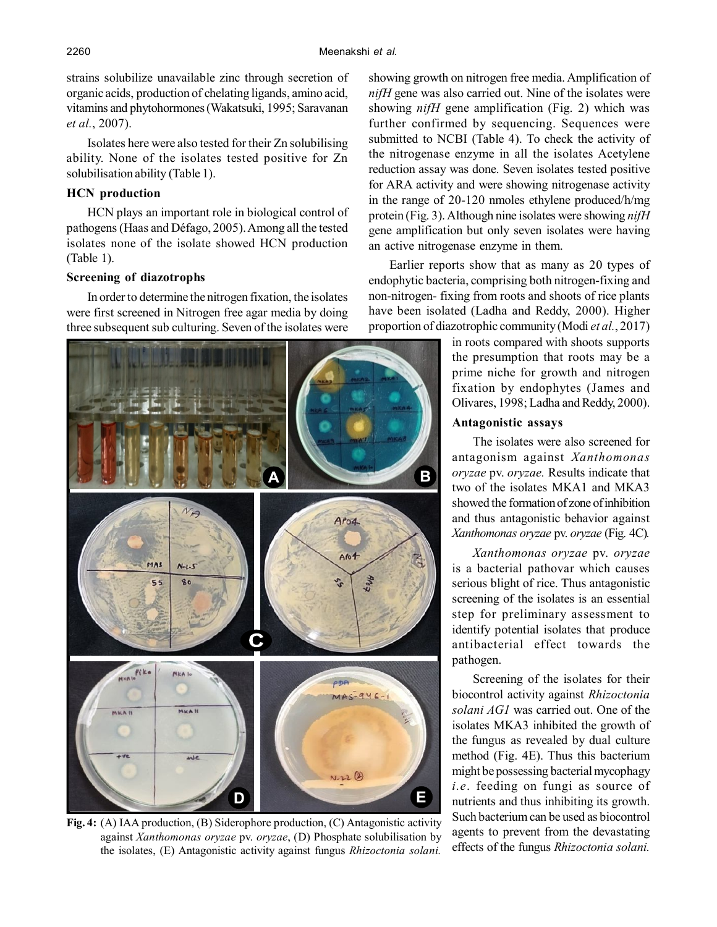strains solubilize unavailable zinc through secretion of organic acids, production of chelating ligands, amino acid, vitamins and phytohormones (Wakatsuki, 1995; Saravanan *et al.*, 2007).

Isolates here were also tested for their Zn solubilising ability. None of the isolates tested positive for Zn solubilisation ability (Table 1).

# **HCN production**

HCN plays an important role in biological control of pathogens (Haas and Défago, 2005). Among all the tested isolates none of the isolate showed HCN production (Table 1).

## **Screening of diazotrophs**

In order to determine the nitrogen fixation, the isolates were first screened in Nitrogen free agar media by doing three subsequent sub culturing. Seven of the isolates were



**Fig. 4:** (A) IAA production, (B) Siderophore production, (C) Antagonistic activity against *Xanthomonas oryzae* pv. *oryzae*, (D) Phosphate solubilisation by the isolates, (E) Antagonistic activity against fungus *Rhizoctonia solani.*

showing growth on nitrogen free media. Amplification of *nifH* gene was also carried out. Nine of the isolates were showing *nifH* gene amplification (Fig. 2) which was further confirmed by sequencing. Sequences were submitted to NCBI (Table 4). To check the activity of the nitrogenase enzyme in all the isolates Acetylene reduction assay was done. Seven isolates tested positive for ARA activity and were showing nitrogenase activity in the range of 20-120 nmoles ethylene produced/h/mg protein (Fig. 3). Although nine isolates were showing *nifH* gene amplification but only seven isolates were having an active nitrogenase enzyme in them.

Earlier reports show that as many as 20 types of endophytic bacteria, comprising both nitrogen-fixing and non-nitrogen- fixing from roots and shoots of rice plants have been isolated (Ladha and Reddy, 2000). Higher proportion of diazotrophic community (Modi *et al.*, 2017)

> in roots compared with shoots supports the presumption that roots may be a prime niche for growth and nitrogen fixation by endophytes (James and Olivares, 1998; Ladha and Reddy, 2000).

## **Antagonistic assays**

The isolates were also screened for antagonism against *Xanthomonas oryzae* pv. *oryzae.* Results indicate that two of the isolates MKA1 and MKA3 showed the formation of zone of inhibition and thus antagonistic behavior against *Xanthomonas oryzae* pv. *oryzae* (Fig. 4C)*.*

*Xanthomonas oryzae* pv. *oryzae* is a bacterial pathovar which causes serious blight of rice. Thus antagonistic screening of the isolates is an essential step for preliminary assessment to identify potential isolates that produce antibacterial effect towards the pathogen.

Screening of the isolates for their biocontrol activity against *Rhizoctonia solani AG1* was carried out. One of the isolates MKA3 inhibited the growth of the fungus as revealed by dual culture method (Fig. 4E). Thus this bacterium might be possessing bacterial mycophagy *i.e*. feeding on fungi as source of nutrients and thus inhibiting its growth. Such bacterium can be used as biocontrol agents to prevent from the devastating effects of the fungus *Rhizoctonia solani.*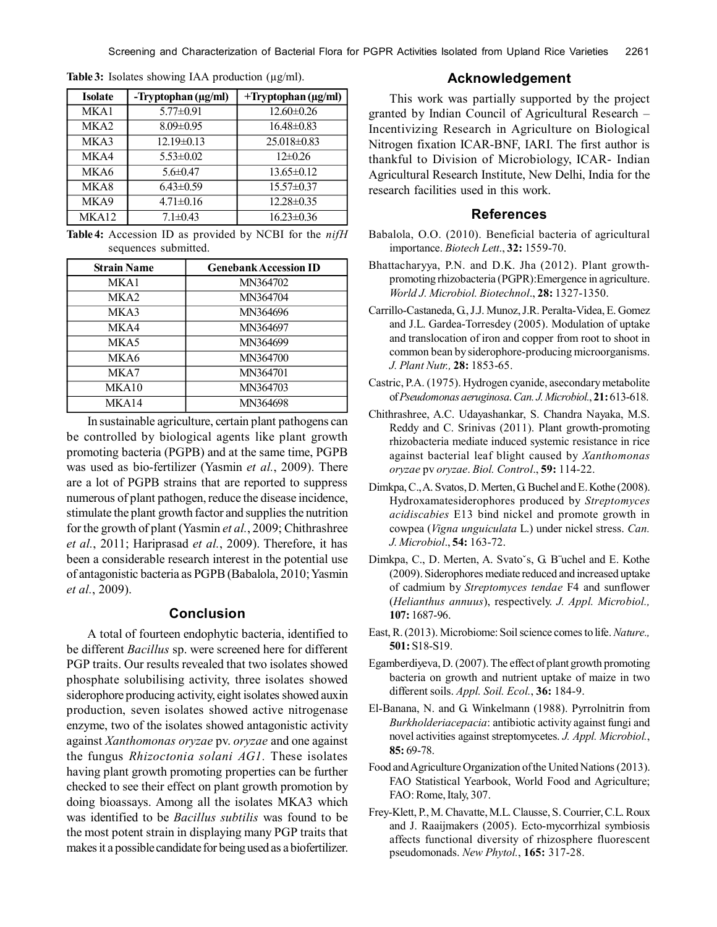| <b>Isolate</b>   | -Tryptophan (µg/ml) | $+$ Tryptophan ( $\mu$ g/ml) |
|------------------|---------------------|------------------------------|
| MKA1             | $5.77 \pm 0.91$     | $12.60 \pm 0.26$             |
| MKA <sub>2</sub> | $8.09 \pm 0.95$     | $16.48 \pm 0.83$             |
| MKA3             | $12.19 \pm 0.13$    | $25.018\pm0.83$              |
| MKA4             | $5.53 \pm 0.02$     | $12\pm0.26$                  |
| MKA6             | $5.6 \pm 0.47$      | $13.65 \pm 0.12$             |
| MKA8             | $6.43 \pm 0.59$     | $15.57 \pm 0.37$             |
| MKA9             | $4.71 \pm 0.16$     | $12.28 \pm 0.35$             |
| MKA12            | $7.1 \pm 0.43$      | $16.23 \pm 0.36$             |

Table 3: Isolates showing IAA production (µg/ml).

**Table 4:** Accession ID as provided by NCBI for the *nifH* sequences submitted.

| <b>Strain Name</b> | <b>Genebank Accession ID</b> |
|--------------------|------------------------------|
| MKA1               | MN364702                     |
| MKA2               | MN364704                     |
| MKA3               | MN364696                     |
| MKA4               | MN364697                     |
| MKA5               | MN364699                     |
| MKA6               | MN364700                     |
| MKA7               | MN364701                     |
| MKA10              | MN364703                     |
| MKA14              | MN364698                     |

In sustainable agriculture, certain plant pathogens can be controlled by biological agents like plant growth promoting bacteria (PGPB) and at the same time, PGPB was used as bio-fertilizer (Yasmin *et al.*, 2009). There are a lot of PGPB strains that are reported to suppress numerous of plant pathogen, reduce the disease incidence, stimulate the plant growth factor and supplies the nutrition for the growth of plant (Yasmin *et al.*, 2009; Chithrashree *et al.*, 2011; Hariprasad *et al.*, 2009). Therefore, it has been a considerable research interest in the potential use of antagonistic bacteria as PGPB (Babalola, 2010; Yasmin *et al.*, 2009).

# **Conclusion**

A total of fourteen endophytic bacteria, identified to be different *Bacillus* sp. were screened here for different PGP traits. Our results revealed that two isolates showed phosphate solubilising activity, three isolates showed siderophore producing activity, eight isolates showed auxin production, seven isolates showed active nitrogenase enzyme, two of the isolates showed antagonistic activity against *Xanthomonas oryzae* pv. *oryzae* and one against the fungus *Rhizoctonia solani AG1.* These isolates having plant growth promoting properties can be further checked to see their effect on plant growth promotion by doing bioassays. Among all the isolates MKA3 which was identified to be *Bacillus subtilis* was found to be the most potent strain in displaying many PGP traits that makes it a possible candidate for being used as a biofertilizer.

# **Acknowledgement**

This work was partially supported by the project granted by Indian Council of Agricultural Research – Incentivizing Research in Agriculture on Biological Nitrogen fixation ICAR-BNF, IARI. The first author is thankful to Division of Microbiology, ICAR- Indian Agricultural Research Institute, New Delhi, India for the research facilities used in this work.

# **References**

- Babalola, O.O. (2010). Beneficial bacteria of agricultural importance. *Biotech Lett*., **32:** 1559-70.
- Bhattacharyya, P.N. and D.K. Jha (2012). Plant growthpromoting rhizobacteria (PGPR):Emergence in agriculture. *World J. Microbiol. Biotechnol*., **28:** 1327-1350.
- Carrillo-Castaneda, G., J.J. Munoz, J.R. Peralta-Videa, E. Gomez and J.L. Gardea-Torresdey (2005). Modulation of uptake and translocation of iron and copper from root to shoot in common bean by siderophore-producing microorganisms. *J. Plant Nutr.,* **28:** 1853-65.
- Castric, P.A. (1975). Hydrogen cyanide, asecondary metabolite of *Pseudomonas aeruginosa*. *Can. J. Microbiol.*, **21:** 613-618.
- Chithrashree, A.C. Udayashankar, S. Chandra Nayaka, M.S. Reddy and C. Srinivas (2011). Plant growth-promoting rhizobacteria mediate induced systemic resistance in rice against bacterial leaf blight caused by *Xanthomonas oryzae* pv *oryzae*. *Biol. Control*., **59:** 114-22.
- Dimkpa, C., A. Svatos, D. Merten, G. Buchel and E. Kothe (2008). Hydroxamatesiderophores produced by *Streptomyces acidiscabies* E13 bind nickel and promote growth in cowpea (*Vigna unguiculata* L.) under nickel stress. *Can. J. Microbiol*., **54:** 163-72.
- Dimkpa, C., D. Merten, A. Svatoˇs, G. B¨uchel and E. Kothe (2009). Siderophores mediate reduced and increased uptake of cadmium by *Streptomyces tendae* F4 and sunflower (*Helianthus annuus*), respectively. *J. Appl. Microbiol.,* **107:** 1687-96.
- East, R. (2013). Microbiome: Soil science comes to life. *Nature.,* **501:** S18-S19.
- Egamberdiyeva, D. (2007). The effect of plant growth promoting bacteria on growth and nutrient uptake of maize in two different soils. *Appl. Soil. Ecol.*, **36:** 184-9.
- El-Banana, N. and G. Winkelmann (1988). Pyrrolnitrin from *Burkholderiacepacia*: antibiotic activity against fungi and novel activities against streptomycetes. *J. Appl. Microbiol.*, **85:** 69-78.
- Food and Agriculture Organization of the United Nations (2013). FAO Statistical Yearbook, World Food and Agriculture; FAO: Rome, Italy, 307.
- Frey-Klett, P., M. Chavatte, M.L. Clausse, S. Courrier, C.L. Roux and J. Raaijmakers (2005). Ecto-mycorrhizal symbiosis affects functional diversity of rhizosphere fluorescent pseudomonads. *New Phytol.*, **165:** 317-28.